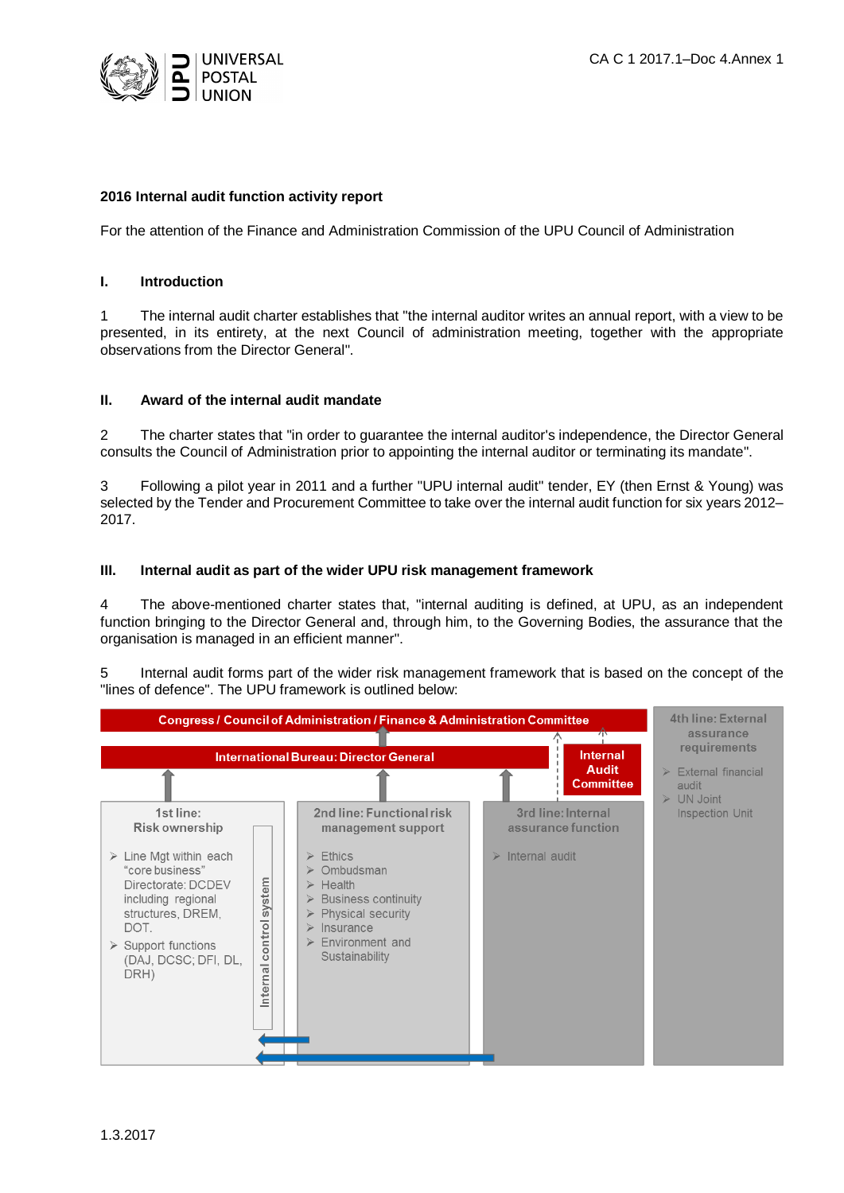

## **2016 Internal audit function activity report**

For the attention of the Finance and Administration Commission of the UPU Council of Administration

#### **I. Introduction**

1 The internal audit charter establishes that "the internal auditor writes an annual report, with a view to be presented, in its entirety, at the next Council of administration meeting, together with the appropriate observations from the Director General".

#### **II. Award of the internal audit mandate**

2 The charter states that "in order to guarantee the internal auditor's independence, the Director General consults the Council of Administration prior to appointing the internal auditor or terminating its mandate".

3 Following a pilot year in 2011 and a further "UPU internal audit" tender, EY (then Ernst & Young) was selected by the Tender and Procurement Committee to take over the internal audit function for six years 2012– 2017.

## **III. Internal audit as part of the wider UPU risk management framework**

4 The above-mentioned charter states that, "internal auditing is defined, at UPU, as an independent function bringing to the Director General and, through him, to the Governing Bodies, the assurance that the organisation is managed in an efficient manner".

5 Internal audit forms part of the wider risk management framework that is based on the concept of the "lines of defence". The UPU framework is outlined below:

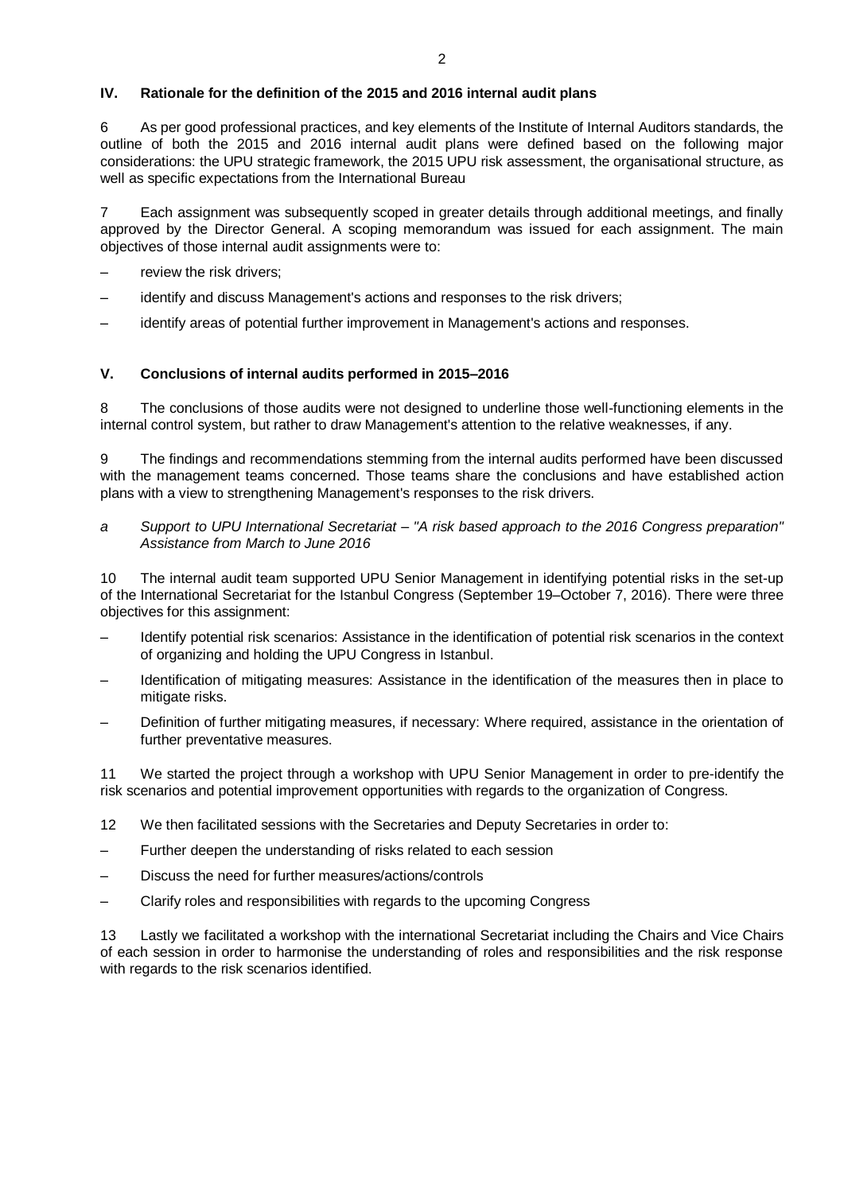# **IV. Rationale for the definition of the 2015 and 2016 internal audit plans**

6 As per good professional practices, and key elements of the Institute of Internal Auditors standards, the outline of both the 2015 and 2016 internal audit plans were defined based on the following major considerations: the UPU strategic framework, the 2015 UPU risk assessment, the organisational structure, as well as specific expectations from the International Bureau

7 Each assignment was subsequently scoped in greater details through additional meetings, and finally approved by the Director General. A scoping memorandum was issued for each assignment. The main objectives of those internal audit assignments were to:

- review the risk drivers;
- identify and discuss Management's actions and responses to the risk drivers;
- identify areas of potential further improvement in Management's actions and responses.

## **V. Conclusions of internal audits performed in 2015–2016**

8 The conclusions of those audits were not designed to underline those well-functioning elements in the internal control system, but rather to draw Management's attention to the relative weaknesses, if any.

9 The findings and recommendations stemming from the internal audits performed have been discussed with the management teams concerned. Those teams share the conclusions and have established action plans with a view to strengthening Management's responses to the risk drivers.

*a Support to UPU International Secretariat – "A risk based approach to the 2016 Congress preparation" Assistance from March to June 2016*

10 The internal audit team supported UPU Senior Management in identifying potential risks in the set-up of the International Secretariat for the Istanbul Congress (September 19–October 7, 2016). There were three objectives for this assignment:

- Identify potential risk scenarios: Assistance in the identification of potential risk scenarios in the context of organizing and holding the UPU Congress in Istanbul.
- Identification of mitigating measures: Assistance in the identification of the measures then in place to mitigate risks.
- Definition of further mitigating measures, if necessary: Where required, assistance in the orientation of further preventative measures.

11 We started the project through a workshop with UPU Senior Management in order to pre-identify the risk scenarios and potential improvement opportunities with regards to the organization of Congress.

- 12 We then facilitated sessions with the Secretaries and Deputy Secretaries in order to:
- Further deepen the understanding of risks related to each session
- Discuss the need for further measures/actions/controls
- Clarify roles and responsibilities with regards to the upcoming Congress

13 Lastly we facilitated a workshop with the international Secretariat including the Chairs and Vice Chairs of each session in order to harmonise the understanding of roles and responsibilities and the risk response with regards to the risk scenarios identified.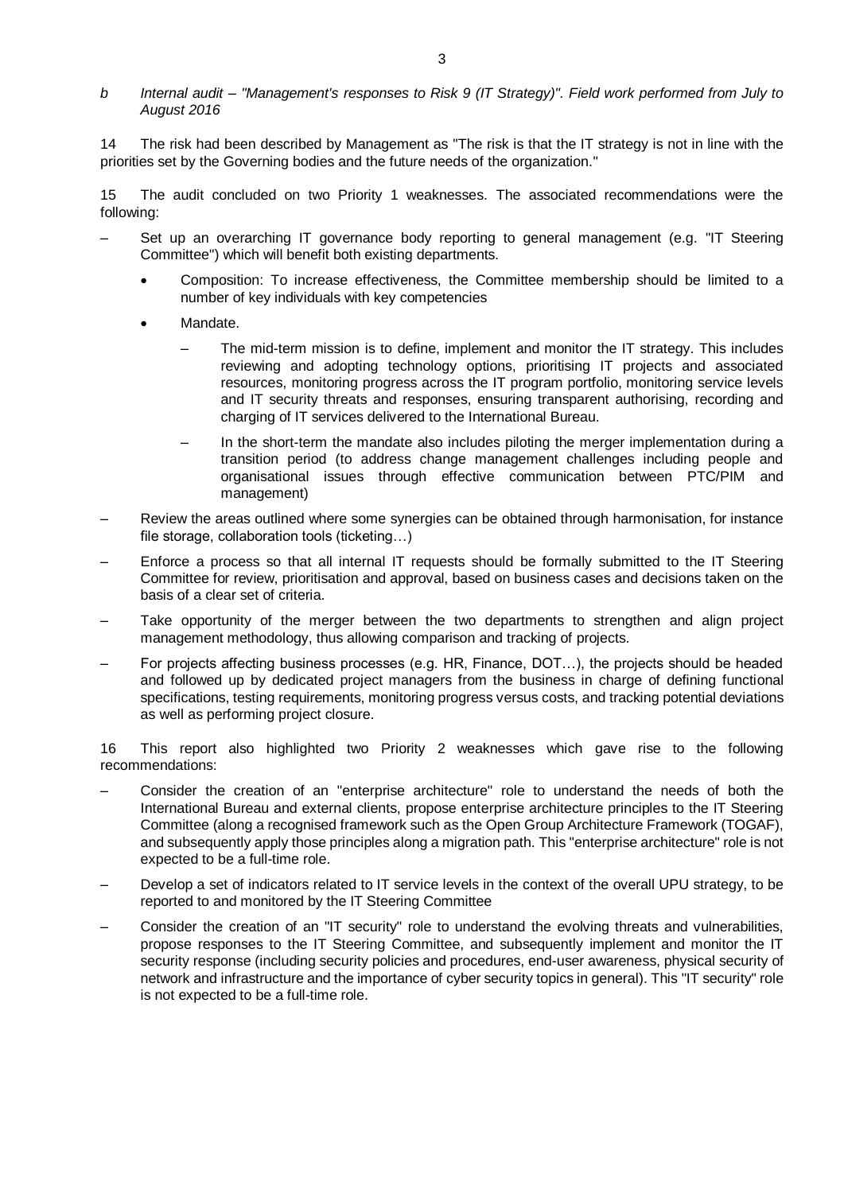## *b Internal audit – "Management's responses to Risk 9 (IT Strategy)". Field work performed from July to August 2016*

14 The risk had been described by Management as "The risk is that the IT strategy is not in line with the priorities set by the Governing bodies and the future needs of the organization."

15 The audit concluded on two Priority 1 weaknesses. The associated recommendations were the following:

- Set up an overarching IT governance body reporting to general management (e.g. "IT Steering Committee") which will benefit both existing departments.
	- Composition: To increase effectiveness, the Committee membership should be limited to a number of key individuals with key competencies
	- Mandate.
		- The mid-term mission is to define, implement and monitor the IT strategy. This includes reviewing and adopting technology options, prioritising IT projects and associated resources, monitoring progress across the IT program portfolio, monitoring service levels and IT security threats and responses, ensuring transparent authorising, recording and charging of IT services delivered to the International Bureau.
		- In the short-term the mandate also includes piloting the merger implementation during a transition period (to address change management challenges including people and organisational issues through effective communication between PTC/PIM and management)
- Review the areas outlined where some synergies can be obtained through harmonisation, for instance file storage, collaboration tools (ticketing…)
- Enforce a process so that all internal IT requests should be formally submitted to the IT Steering Committee for review, prioritisation and approval, based on business cases and decisions taken on the basis of a clear set of criteria.
- Take opportunity of the merger between the two departments to strengthen and align project management methodology, thus allowing comparison and tracking of projects.
- For projects affecting business processes (e.g. HR, Finance, DOT…), the projects should be headed and followed up by dedicated project managers from the business in charge of defining functional specifications, testing requirements, monitoring progress versus costs, and tracking potential deviations as well as performing project closure.

16 This report also highlighted two Priority 2 weaknesses which gave rise to the following recommendations:

- Consider the creation of an "enterprise architecture" role to understand the needs of both the International Bureau and external clients, propose enterprise architecture principles to the IT Steering Committee (along a recognised framework such as the Open Group Architecture Framework (TOGAF), and subsequently apply those principles along a migration path. This "enterprise architecture" role is not expected to be a full-time role.
- Develop a set of indicators related to IT service levels in the context of the overall UPU strategy, to be reported to and monitored by the IT Steering Committee
- Consider the creation of an "IT security" role to understand the evolving threats and vulnerabilities, propose responses to the IT Steering Committee, and subsequently implement and monitor the IT security response (including security policies and procedures, end-user awareness, physical security of network and infrastructure and the importance of cyber security topics in general). This "IT security" role is not expected to be a full-time role.